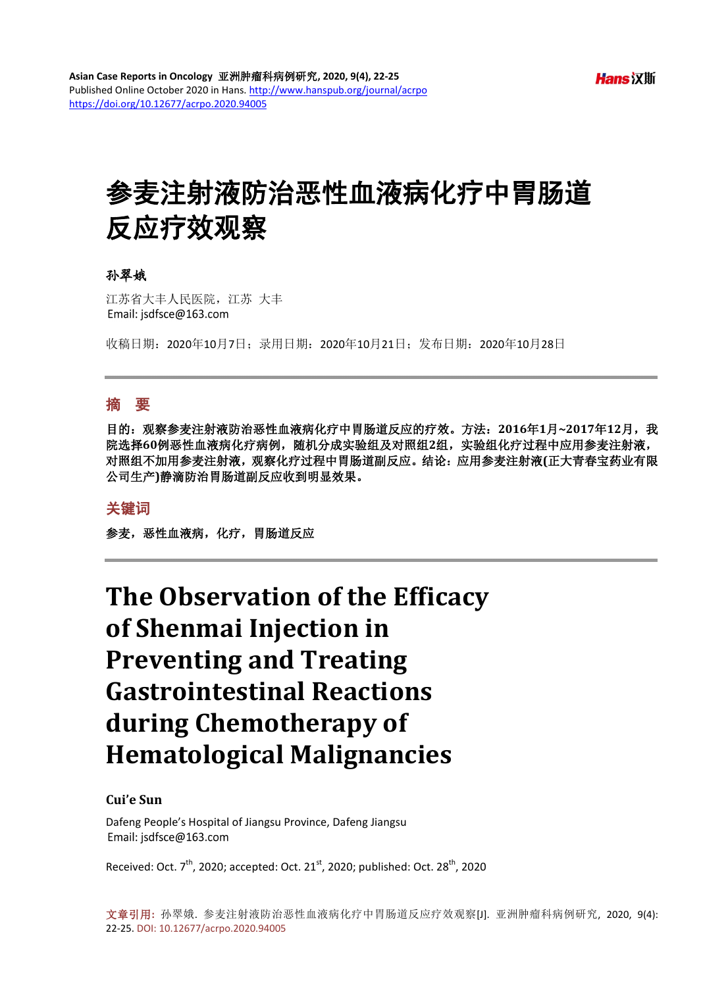# 参麦注射液防治恶性血液病化疗中胃肠道 反应疗效观察

#### 孙翠娥

江苏省大丰人民医院,江苏 大丰 Email: jsdfsce@163.com

收稿日期:2020年10月7日;录用日期:2020年10月21日;发布日期:2020年10月28日

#### 摘 要

目的:观察参麦注射液防治恶性血液病化疗中胃肠道反应的疗效。方法:**2016**年**1**月**~2017**年**12**月,我 院选择**60**例恶性血液病化疗病例,随机分成实验组及对照组**2**组,实验组化疗过程中应用参麦注射液, 对照组不加用参麦注射液,观察化疗过程中胃肠道副反应。结论:应用参麦注射液**(**正大青春宝药业有限 公司生产**)**静滴防治胃肠道副反应收到明显效果。

#### 关键词

参麦,恶性血液病,化疗,胃肠道反应

## **The Observation of the Efficacy of Shenmai Injection in Preventing and Treating Gastrointestinal Reactions during Chemotherapy of Hematological Malignancies**

#### **Cui'e Sun**

Dafeng People's Hospital of Jiangsu Province, Dafeng Jiangsu Email: jsdfsce@163.com

Received: Oct.  $7^{\text{th}}$ , 2020; accepted: Oct. 21<sup>st</sup>, 2020; published: Oct. 28<sup>th</sup>, 2020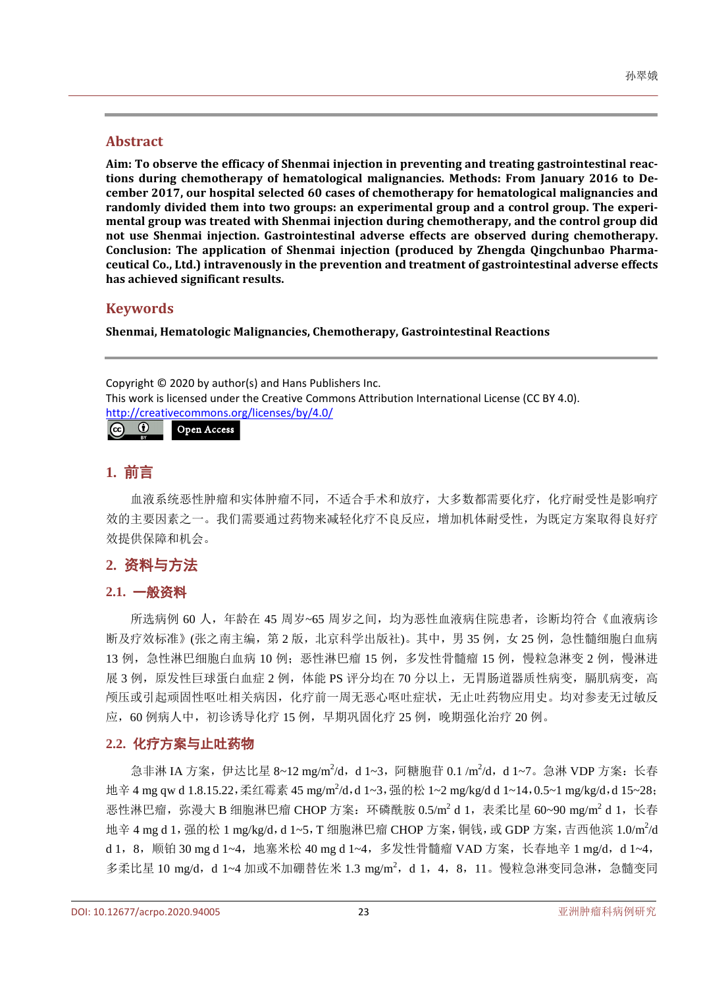#### **Abstract**

**Aim: To observe the efficacy of Shenmai injection in preventing and treating gastrointestinal reactions during chemotherapy of hematological malignancies. Methods: From January 2016 to December 2017, our hospital selected 60 cases of chemotherapy for hematological malignancies and randomly divided them into two groups: an experimental group and a control group. The experimental group was treated with Shenmai injection during chemotherapy, and the control group did not use Shenmai injection. Gastrointestinal adverse effects are observed during chemotherapy. Conclusion: The application of Shenmai injection (produced by Zhengda Qingchunbao Pharmaceutical Co., Ltd.) intravenously in the prevention and treatment of gastrointestinal adverse effects has achieved significant results.**

#### **Keywords**

**Shenmai, Hematologic Malignancies, Chemotherapy, Gastrointestinal Reactions**

Copyright © 2020 by author(s) and Hans Publishers Inc. This work is licensed under the Creative Commons Attribution International License (CC BY 4.0). <http://creativecommons.org/licenses/by/4.0/>  $\boxed{6}$   $\boxed{0}$ Open Access

#### **1.** 前言

血液系统恶性肿瘤和实体肿瘤不同,不适合手术和放疗,大多数都需要化疗,化疗耐受性是影响疗 效的主要因素之一。我们需要通过药物来减轻化疗不良反应,增加机体耐受性,为既定方案取得良好疗 效提供保障和机会。

#### **2.** 资料与方法

#### **2.1.** 一般资料

所选病例 60 人,年龄在 45 周岁~65 周岁之间,均为恶性血液病住院患者,诊断均符合《血液病诊 断及疗效标准》(张之南主编,第 2版,北京科学出版社)。其中,男 35 例, 女 25 例, 急性髓细胞白血病 13 例, 急性淋巴细胞白血病 10 例;恶性淋巴瘤 15 例, 多发性骨髓瘤 15 例, 慢粒急淋变 2 例, 慢淋进 展 3 例, 原发性巨球蛋白血症 2 例, 体能 PS 评分均在 70 分以上, 无胃肠道器质性病变, 膈肌病变, 高 颅压或引起顽固性呕吐相关病因,化疗前一周无恶心呕吐症状,无止吐药物应用史。均对参麦无过敏反 应,60 例病人中,初诊诱导化疗 15 例,早期巩固化疗 25 例,晚期强化治疗 20 例。

#### **2.2.** 化疗方案与止吐药物

急非淋 IA 方案, 伊达比星 8~12 mg/m<sup>2</sup>/d, d 1~3, 阿糖胞苷 0.1 /m<sup>2</sup>/d, d 1~7。急淋 VDP 方案: 长春 地辛 4 mg qw d 1.8.15.22, 柔红霉素 45 mg/m<sup>2</sup>/d,d 1~3, 强的松 1~2 mg/kg/d d 1~14,0.5~1 mg/kg/d,d 15~28; 恶性淋巴瘤,弥漫大 B 细胞淋巴瘤 CHOP 方案:环磷酰胺  $0.5/m^2$  d 1, 表柔比星 60~90 mg/m<sup>2</sup> d 1, 长春 地辛 4 mg d 1, 强的松 1 mg/kg/d, d 1~5, T 细胞淋巴瘤 CHOP 方案, 铜钱, 或 GDP 方案, 吉西他滨 1.0/m<sup>2</sup>/d d 1, 8, 顺铂 30 mg d 1~4, 地塞米松 40 mg d 1~4, 多发性骨髓瘤 VAD 方案, 长春地辛 1 mg/d, d 1~4, 多柔比星 10 mg/d, d 1~4 加或不加硼替佐米 1.3 mg/m<sup>2</sup>, d 1, 4, 8, 11。慢粒急淋变同急淋, 急髓变同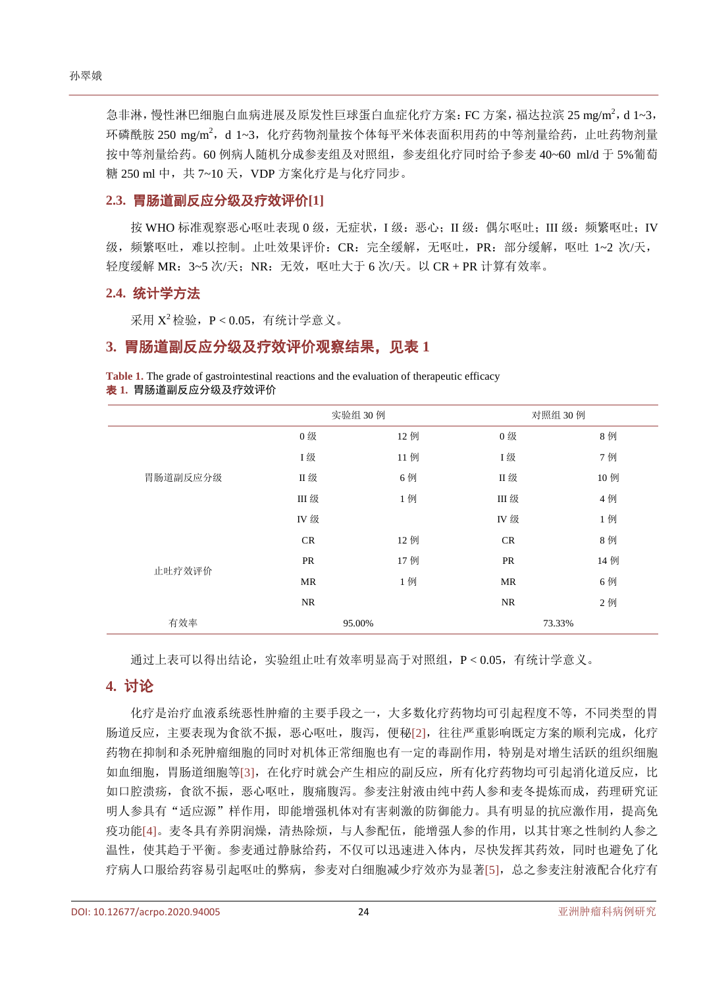急非淋,慢性淋巴细胞白血病进展及原发性巨球蛋白血症化疗方案: FC 方案, 福达拉滨 25 mg/m<sup>2</sup>, d 1~3, 环磷酰胺 250 mg/m2, d 1~3, 化疗药物剂量按个体每平米体表面积用药的中等剂量给药, 止吐药物剂量 按中等剂量给药。60 例病人随机分成参麦组及对照组,参麦组化疗同时给予参麦 40~60 ml/d 于 5%葡萄 糖 250 ml 中, 共 7~10 天, VDP 方案化疗是与化疗同步。

#### **2.3.** 胃肠道副反应分级及疗效评价**[\[1\]](#page-3-0)**

按 WHO 标准观察恶心呕吐表现 0 级,无症状, I 级: 恶心; II 级: 偶尔呕吐; III 级: 频繁呕吐; IV 级,频繁呕吐,难以控制。止吐效果评价: CR: 完全缓解, 无呕吐, PR: 部分缓解, 呕吐 1~2 次/天, 轻度缓解 MR: 3~5 次/天; NR: 无效, 呕吐大于 6 次/天。以 CR + PR 计算有效率。

#### **2.4.** 统计学方法

采用 $X^2$  检验,  $P < 0.05$ , 有统计学意义。

#### **3.** 胃肠道副反应分级及疗效评价观察结果,[见表](#page-2-0) **1**

<span id="page-2-0"></span>**Table 1.** The grade of gastrointestinal reactions and the evaluation of therapeutic efficacy 表 **1.** 胃肠道副反应分级及疗效评价

|          | 实验组 30例   |     | 对照组 30 例   |     |
|----------|-----------|-----|------------|-----|
| 胃肠道副反应分级 | 0级        | 12例 | 0级         | 8例  |
|          | <b>I级</b> | 11例 | I级         | 7例  |
|          | Ⅱ级        | 6例  | Ⅱ级         | 10例 |
|          | Ⅲ 级       | 1例  | Ⅲ 级        | 4例  |
|          | IV 级      |     | <b>IV级</b> | 1例  |
| 止吐疗效评价   | CR        | 12例 | CR         | 8例  |
|          | PR        | 17例 | PR         | 14例 |
|          | MR        | 1例  | MR         | 6例  |
|          | NR        |     | <b>NR</b>  | 2例  |
| 有效率      | 95.00%    |     | 73.33%     |     |

通过上表可以得出结论,实验组止吐有效率明显高于对照组,P < 0.05,有统计学意义。

#### **4.** 讨论

化疗是治疗血液系统恶性肿瘤的主要手段之一,大多数化疗药物均可引起程度不等,不同类型的胃 肠道反应,主要表现为食欲不振,恶心呕吐,腹泻,便秘[\[2\]](#page-3-1),往往严重影响既定方案的顺利完成,化疗 药物在抑制和杀死肿瘤细胞的同时对机体正常细胞也有一定的毒副作用,特别是对增生活跃的组织细胞 如血细胞,胃肠道细胞等[\[3\]](#page-3-2),在化疗时就会产生相应的副反应,所有化疗药物均可引起消化道反应,比 如口腔溃疡,食欲不振,恶心呕吐,腹痛腹泻。参麦注射液由纯中药人参和麦冬提炼而成,药理研究证 明人参具有"适应源"样作用,即能增强机体对有害刺激的防御能力。具有明显的抗应激作用,提高免 疫功能[\[4\]](#page-3-3)。麦冬具有养阴润燥,清热除烦,与人参配伍,能增强人参的作用,以其甘寒之性制约人参之 温性,使其趋于平衡。参麦通过静脉给药,不仅可以迅速进入体内,尽快发挥其药效,同时也避免了化 疗病人口服给药容易引起呕吐的弊病,参麦对白细胞减少疗效亦为显著[\[5\]](#page-3-4),总之参麦注射液配合化疗有